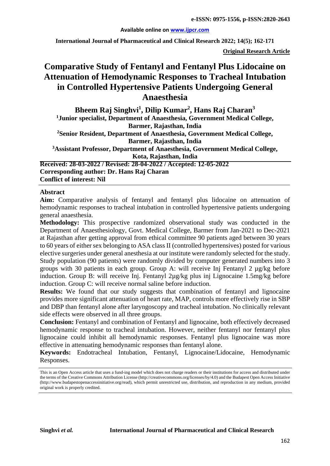#### **Available online on [www.ijpcr.com](http://www.ijpcr.com/)**

**International Journal of Pharmaceutical and Clinical Research 2022; 14(5); 162-171**

**Original Research Article**

# **Comparative Study of Fentanyl and Fentanyl Plus Lidocaine on Attenuation of Hemodynamic Responses to Tracheal Intubation in Controlled Hypertensive Patients Undergoing General Anaesthesia**

**Bheem Raj Singhvi1 , Dilip Kumar2 , Hans Raj Charan3 1Junior specialist, Department of Anaesthesia, Government Medical College, Barmer, Rajasthan, India 2 Senior Resident, Department of Anaesthesia, Government Medical College, Barmer, Rajasthan, India 3 Assistant Professor, Department of Anaesthesia, Government Medical College, Kota, Rajasthan, India Received: 28-03-2022 / Revised: 28-04-2022 / Accepted: 12-05-2022**

**Corresponding author: Dr. Hans Raj Charan Conflict of interest: Nil**

#### **Abstract**

**Aim:** Comparative analysis of fentanyl and fentanyl plus lidocaine on attenuation of hemodynamic responses to tracheal intubation in controlled hypertensive patients undergoing general anaesthesia.

**Methodology:** This prospective randomized observational study was conducted in the Department of Anaesthesiology, Govt. Medical College, Barmer from Jan-2021 to Dec-2021 at Rajasthan after getting approval from ethical committee 90 patients aged between 30 years to 60 years of either sex belonging to ASA class II (controlled hypertensives) posted for various elective surgeries under general anesthesia at our institute were randomly selected for the study. Study population (90 patients) were randomly divided by computer generated numbers into 3 groups with 30 patients in each group. Group A: will receive Inj Fentanyl 2 µg/kg before induction. Group B: will receive Inj. Fentanyl 2µg/kg plus inj Lignocaine 1.5mg/kg before induction. Group C: will receive normal saline before induction.

**Results:** We found that our study suggests that combination of fentanyl and lignocaine provides more significant attenuation of heart rate, MAP, controls more effectively rise in SBP and DBP than fentanyl alone after laryngoscopy and tracheal intubation. No clinically relevant side effects were observed in all three groups.

**Conclusion:** Fentanyl and combination of Fentanyl and lignocaine, both effectively decreased hemodynamic response to tracheal intubation. However, neither fentanyl nor fentanyl plus lignocaine could inhibit all hemodynamic responses. Fentanyl plus lignocaine was more effective in attenuating hemodynamic responses than fentanyl alone.

**Keywords:** Endotracheal Intubation, Fentanyl, Lignocaine/Lidocaine, Hemodynamic Responses.

This is an Open Access article that uses a fund-ing model which does not charge readers or their institutions for access and distributed under the terms of the Creative Commons Attribution License (http://creativecommons.org/licenses/by/4.0) and the Budapest Open Access Initiative (http://www.budapestopenaccessinitiative.org/read), which permit unrestricted use, distribution, and reproduction in any medium, provided original work is properly credited.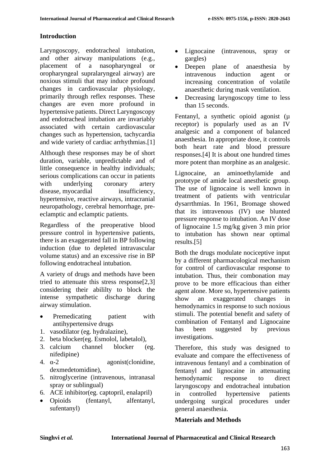# **Introduction**

Laryngoscopy, endotracheal intubation, and other airway manipulations (e.g., placement of a nasopharyngeal or oropharyngeal supralaryngeal airway) are noxious stimuli that may induce profound changes in cardiovascular physiology, primarily through reflex responses. These changes are even more profound in hypertensive patients. Direct Laryngoscopy and endotracheal intubation are invariably associated with certain cardiovascular changes such as hypertension, tachycardia and wide variety of cardiac arrhythmias.[1]

Although these responses may be of short duration, variable, unpredictable and of little consequence in healthy individuals; serious complications can occur in patients with underlying coronary artery disease, myocardial insufficiency, hypertensive, reactive airways, intracranial neuropathology, cerebral hemorrhage, preeclamptic and eclamptic patients.

Regardless of the preoperative blood pressure control in hypertensive patients, there is an exaggerated fall in BP following induction (due to depleted intravascular volume status) and an excessive rise in BP following endotracheal intubation.

A variety of drugs and methods have been tried to attenuate this stress response[2,3] considering their abililty to block the intense sympathetic discharge during airway stimulation.

- Premedicating patient with antihypertensive drugs
- 1. vasodilator (eg. hydralazine),
- 2. beta blocker(eg. Esmolol, labetalol),
- 3. calcium channel blocker (eg. nifedipine)
- 4. α-2 agonist(clonidine, dexmedetomidine),
- 5. nitroglycerine (intravenous, intranasal spray or sublingual)
- 6. ACE inhibitor(eg. captopril, enalapril)
- Opioids (fentanyl, alfentanyl, sufentanyl)
- Lignocaine (intravenous, spray or gargles)
- Deepen plane of anaesthesia by intravenous induction agent or increasing concentration of volatile anaesthetic during mask ventilation.
- Decreasing laryngoscopy time to less than 15 seconds.

Fentanyl, a synthetic opioid agonist (µ receptor) is popularly used as an IV analgesic and a component of balanced anaesthesia. In appropriate dose, it controls both heart rate and blood pressure responses.[4] It is about one hundred times more potent than morphine as an analgesic.

Lignocaine, an aminoethylamide and prototype of amide local anesthetic group. The use of lignocaine is well known in treatment of patients with ventricular dysarrthmias. In 1961, Bromage showed that its intravenous (IV) use blunted pressure response to intubation. An IV dose of lignocaine 1.5 mg/kg given 3 min prior to intubation has shown near optimal results.[5]

Both the drugs modulate nociceptive input by a different pharmacological mechanism for control of cardiovascular response to intubation. Thus, their combonation may prove to be more efficacious than either agent alone. More so, hypertensive patients show an exaggerated changes in hemodynamics in response to such noxious stimuli. The potential benefit and safety of combination of Fentanyl and Lignocaine has been suggested by previous investigations.

Therefore, this study was designed to evaluate and compare the effectiveness of intravenous fentanyl and a combination of fentanyl and lignocaine in attenuating hemodynamic response to direct laryngoscopy and endotracheal intubation in controlled hypertensive patients undergoing surgical procedures under general anaesthesia.

## **Materials and Methods**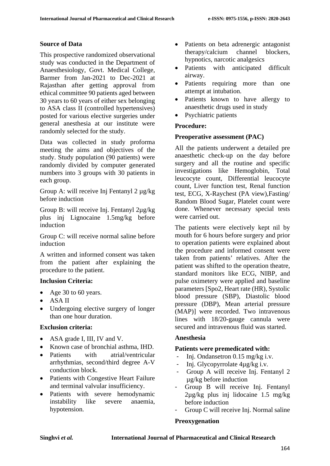# **Source of Data**

This prospective randomized observational study was conducted in the Department of Anaesthesiology, Govt. Medical College, Barmer from Jan-2021 to Dec-2021 at Rajasthan after getting approval from ethical committee 90 patients aged between 30 years to 60 years of either sex belonging to ASA class II (controlled hypertensives) posted for various elective surgeries under general anesthesia at our institute were randomly selected for the study.

Data was collected in study proforma meeting the aims and objectives of the study. Study population (90 patients) were randomly divided by computer generated numbers into 3 groups with 30 patients in each group.

Group A: will receive Inj Fentanyl 2 µg/kg before induction

Group B: will receive Inj. Fentanyl 2µg/kg plus inj Lignocaine 1.5mg/kg before induction

Group C: will receive normal saline before induction

A written and informed consent was taken from the patient after explaining the procedure to the patient.

## **Inclusion Criteria:**

- Age 30 to 60 years.
- ASA II
- Undergoing elective surgery of longer than one hour duration.

## **Exclusion criteria:**

- ASA grade I, III, IV and V.
- Known case of bronchial asthma, IHD.
- Patients with atrial/ventricular arrhythmias, second/third degree A-V conduction block.
- Patients with Congestive Heart Failure and terminal valvular insufficiency.
- Patients with severe hemodynamic instability like severe anaemia, hypotension.
- Patients on beta adrenergic antagonist therapy/calcium channel blockers, hypnotics, narcotic analgesics
- Patients with anticipated difficult airway.
- Patients requiring more than one attempt at intubation.
- Patients known to have allergy to anaesthetic drugs used in study
- Psychiatric patients

## **Procedure:**

#### **Preoperative assessment (PAC)**

All the patients underwent a detailed pre anaesthetic check-up on the day before surgery and all the routine and specific investigations like Hemoglobin, Total leucocyte count, Differential leucocyte count, Liver function test, Renal function test, ECG, X-Raychest (PA view),Fasting/ Random Blood Sugar, Platelet count were done. Whenever necessary special tests were carried out.

The patients were electively kept nil by mouth for 6 hours before surgery and prior to operation patients were explained about the procedure and informed consent were taken from patients' relatives. After the patient was shifted to the operation theatre, standard monitors like ECG, NIBP, and pulse oximetery were applied and baseline parameters [Spo2, Heart rate (HR), Systolic blood pressure (SBP), Diastolic blood pressure (DBP), Mean arterial pressure (MAP)] were recorded. Two intravenous lines with 18/20-gauge cannula were secured and intravenous fluid was started.

## **Anesthesia**

## **Patients were premedicated with:**

- Inj. Ondansetron 0.15 mg/kg i.v.
- Inj. Glycopyrrolate 4µg/kg i.v.
- Group A will receive Inj. Fentanyl 2 µg/kg before induction
- Group B will receive Inj. Fentanyl 2µg/kg plus inj lidocaine 1.5 mg/kg before induction
- Group C will receive Inj. Normal saline

## **Preoxygenation**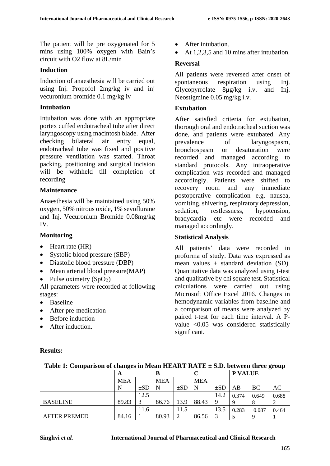The patient will be pre oxygenated for 5 mins using 100% oxygen with Bain's circuit with O2 flow at 8L/min

#### **Induction**

Induction of anaesthesia will be carried out using Inj. Propofol 2mg/kg iv and inj vecuronium bromide 0.1 mg/kg iv

#### **Intubation**

Intubation was done with an appropriate portex cuffed endotracheal tube after direct laryngoscopy using macintosh blade. After checking bilateral air entry equal, endotracheal tube was fixed and positive pressure ventilation was started. Throat packing, positioning and surgical incision will be withheld till completion of recording

#### **Maintenance**

Anaesthesia will be maintained using 50% oxygen, 50% nitrous oxide, 1% sevoflurane and Inj. Vecuronium Bromide 0.08mg/kg IV.

#### **Monitoring**

- Heart rate (HR)
- Systolic blood pressure (SBP)
- Diastolic blood pressure (DBP)
- Mean arterial blood preesure(MAP)
- Pulse oximetry  $(SpO<sub>2</sub>)$

All parameters were recorded at following stages:

• Baseline

**Results:**

- After pre-medication
- Before induction
- After induction.
- After intubation.
- At 1,2,3,5 and 10 mins after intubation.

#### **Reversal**

All patients were reversed after onset of spontaneous respiration using Inj. Glycopyrrolate 8µg/kg i.v. and Inj. Neostigmine 0.05 mg/kg i.v.

#### **Extubation**

After satisfied criteria for extubation, thorough oral and endotracheal suction was done, and patients were extubated. Any prevalence of laryngospasm, bronchospasm or desaturation were recorded and managed according to standard protocols. Any intraoperative complication was recorded and managed accordingly. Patients were shifted to recovery room and any immediate postoperative complication e.g. nausea, vomiting, shivering, respiratory depression, sedation, restlessness, hypotension, bradycardia etc were recorded and managed accordingly.

## **Statistical Analysis**

All patients' data were recorded in proforma of study. Data was expressed as mean values  $\pm$  standard deviation (SD). Quantitative data was analyzed using t-test and qualitative by chi square test. Statistical calculations were carried out using Microsoft Office Excel 2016. Changes in hemodynamic variables from baseline and a comparison of means were analyzed by paired t-test for each time interval. A Pvalue <0.05 was considered statistically significant.

|                     | A          |          | B          |          |            |          |       | P VALUE |       |  |
|---------------------|------------|----------|------------|----------|------------|----------|-------|---------|-------|--|
|                     | <b>MEA</b> |          | <b>MEA</b> |          | <b>MEA</b> |          |       |         |       |  |
|                     | N          | $\pm SD$ | N          | $\pm SD$ | N          | $\pm SD$ | AB    | BC      | AС    |  |
|                     |            | 12.5     |            |          |            | 14.2     | 0.374 | 0.649   | 0.688 |  |
| <b>BASELINE</b>     | 89.83      |          | 86.76      | 13.9     | 88.43      |          |       |         |       |  |
|                     |            | 11.6     |            | 11.5     |            | 13.5     | 0.283 | 0.087   | 0.464 |  |
| <b>AFTER PREMED</b> | 84.16      |          | 80.93      | ി        | 86.56      |          |       | Q       |       |  |

#### **Table 1: Comparison of changes in Mean HEART RATE ± S.D. between three group**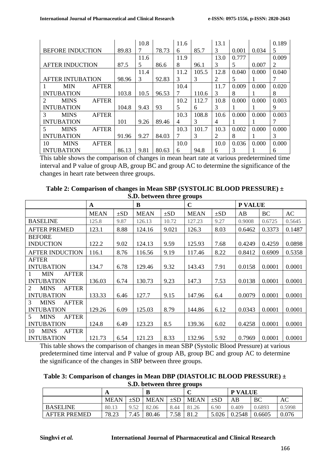|                             |                         |              |       | 10.8 |       | 11.6 |       | 13.1 |       |       | 0.189 |
|-----------------------------|-------------------------|--------------|-------|------|-------|------|-------|------|-------|-------|-------|
|                             | <b>BEFORE INDUCTION</b> |              | 89.83 | 7    | 78.73 | 6    | 85.7  | 3    | 0.001 | 0.034 | 5     |
|                             |                         |              |       | 11.6 |       | 11.9 |       | 13.0 | 0.777 |       | 0.009 |
| <b>AFTER INDUCTION</b>      |                         | 87.5         | 5     | 86.6 | 8     | 96.1 | 3     | 5    | 0.007 | 2     |       |
|                             |                         |              |       | 11.4 |       | 11.2 | 105.5 | 12.8 | 0.040 | 0.000 | 0.040 |
|                             | <b>AFTER INTUBATION</b> |              | 98.96 | 3    | 92.83 | 3    | 3     | 2    | 5     |       |       |
|                             | <b>MIN</b>              | <b>AFTER</b> |       |      |       | 10.4 |       | 11.7 | 0.009 | 0.000 | 0.020 |
|                             | <b>INTUBATION</b>       |              | 103.8 | 10.5 | 96.53 | 7    | 110.6 | 3    | 8     |       | 8     |
| $\mathcal{D}_{\mathcal{L}}$ | <b>MINS</b>             | <b>AFTER</b> |       |      |       | 10.2 | 112.7 | 10.8 | 0.000 | 0.000 | 0.003 |
|                             | <b>INTUBATION</b>       |              | 104.8 | 9.43 | 93    | 5    | 6     | 3    |       |       | 9     |
| 3                           | <b>MINS</b>             | <b>AFTER</b> |       |      |       | 10.3 | 108.8 | 10.6 | 0.000 | 0.000 | 0.003 |
|                             | <b>INTUBATION</b>       |              | 101   | 9.26 | 89.46 | 4    | 3     | 4    |       |       |       |
| 5                           | <b>MINS</b>             | <b>AFTER</b> |       |      |       | 10.3 | 101.7 | 10.3 | 0.002 | 0.000 | 0.000 |
|                             | <b>INTUBATION</b>       |              | 91.96 | 9.27 | 84.03 | 7    | 3     | 2    | 8     |       | 3     |
| 10                          | <b>MINS</b>             | <b>AFTER</b> |       |      |       | 10.0 |       | 10.0 | 0.036 | 0.000 | 0.000 |
|                             | <b>INTUBATION</b>       |              | 86.13 | 9.81 | 80.63 | 6    | 94.8  | 6    | 3     |       | 6     |

This table shows the comparison of changes in mean heart rate at various predetermined time interval and P value of group AB, group BC and group AC to determine the significance of the changes in heart rate between three groups.

| 5.6                                                        |             |          |             |          |             |          |         |           |        |  |  |
|------------------------------------------------------------|-------------|----------|-------------|----------|-------------|----------|---------|-----------|--------|--|--|
|                                                            | A           |          | B           |          | $\mathbf C$ |          | P VALUE |           |        |  |  |
|                                                            | <b>MEAN</b> | $\pm SD$ | <b>MEAN</b> | $\pm SD$ | <b>MEAN</b> | $\pm SD$ | AB      | <b>BC</b> | AC     |  |  |
| <b>BASELINE</b>                                            | 125.8       | 9.87     | 126.13      | 10.72    | 127.23      | 9.27     | 0.9008  | 0.6725    | 0.5645 |  |  |
| <b>AFTER PREMED</b>                                        | 123.1       | 8.88     | 124.16      | 9.021    | 126.3       | 8.03     | 0.6462  | 0.3373    | 0.1487 |  |  |
| <b>BEFORE</b>                                              |             |          |             |          |             |          |         |           |        |  |  |
| <b>INDUCTION</b>                                           | 122.2       | 9.02     | 124.13      | 9.59     | 125.93      | 7.68     | 0.4249  | 0.4259    | 0.0898 |  |  |
| <b>AFTER INDUCTION</b>                                     | 116.1       | 8.76     | 116.56      | 9.19     | 117.46      | 8.22     | 0.8412  | 0.6909    | 0.5358 |  |  |
| <b>AFTER</b>                                               |             |          |             |          |             |          |         |           |        |  |  |
| <b>INTUBATION</b>                                          | 134.7       | 6.78     | 129.46      | 9.32     | 143.43      | 7.91     | 0.0158  | 0.0001    | 0.0001 |  |  |
| <b>MIN</b><br><b>AFTER</b><br>T.                           |             |          |             |          |             |          |         |           |        |  |  |
| <b>INTUBATION</b>                                          | 136.03      | 6.74     | 130.73      | 9.23     | 147.3       | 7.53     | 0.0138  | 0.0001    | 0.0001 |  |  |
| <b>AFTER</b><br>$\mathcal{D}_{\mathcal{L}}$<br><b>MINS</b> |             |          |             |          |             |          |         |           |        |  |  |
| <b>INTUBATION</b>                                          | 133.33      | 6.46     | 127.7       | 9.15     | 147.96      | 6.4      | 0.0079  | 0.0001    | 0.0001 |  |  |
| $\mathcal{R}$<br><b>MINS</b><br><b>AFTER</b>               |             |          |             |          |             |          |         |           |        |  |  |
| <b>INTUBATION</b>                                          | 129.26      | 6.09     | 125.03      | 8.79     | 144.86      | 6.12     | 0.0343  | 0.0001    | 0.0001 |  |  |
| <b>MINS</b><br><b>AFTER</b><br>5                           |             |          |             |          |             |          |         |           |        |  |  |
| <b>INTUBATION</b>                                          | 124.8       | 6.49     | 123.23      | 8.5      | 139.36      | 6.02     | 0.4258  | 0.0001    | 0.0001 |  |  |
| <b>MINS</b><br><b>AFTER</b><br>10                          |             |          |             |          |             |          |         |           |        |  |  |
| <b>INTUBATION</b>                                          | 121.73      | 6.54     | 121.23      | 8.33     | 132.96      | 5.92     | 0.7969  | 0.0001    | 0.0001 |  |  |

**Table 2: Comparison of changes in Mean SBP (SYSTOLIC BLOOD PRESSURE) ± S.D. between three groups**

This table shows the comparison of changes in mean SBP (Systolic Blood Pressure) at various predetermined time interval and P value of group AB, group BC and group AC to determine the significance of the changes in SBP between three groups.

| Table 3: Comparison of changes in Mean DBP (DIASTOLIC BLOOD PRESSURE) ± |
|-------------------------------------------------------------------------|
| S.D. between three groups                                               |

|                     | A           |          | B           |          | ◡           |          | <b>P VALUE</b> |        |        |
|---------------------|-------------|----------|-------------|----------|-------------|----------|----------------|--------|--------|
|                     | <b>MEAN</b> | $\pm$ SD | <b>MEAN</b> | $\pm SD$ | <b>MEAN</b> | $\pm$ SD | AB             | BC     | AC     |
| <b>BASELINE</b>     | 80.13       | 952      | 82.06       | 8.44     | 81.26       | 6.90     | 0.409          | 0.6893 | 0.5998 |
| <b>AFTER PREMED</b> | 78.23       | 7.45     | 80.46       | 7.58     | 81.2        | 5.026    | 0.2548         | 0.6605 | 0.076  |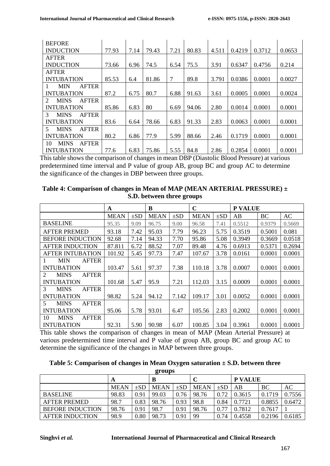| <b>BEFORE</b>                                              |       |      |       |      |       |       |        |        |        |
|------------------------------------------------------------|-------|------|-------|------|-------|-------|--------|--------|--------|
| <b>INDUCTION</b>                                           | 77.93 | 7.14 | 79.43 | 7.21 | 80.83 | 4.511 | 0.4219 | 0.3712 | 0.0653 |
| <b>AFTER</b>                                               |       |      |       |      |       |       |        |        |        |
| <b>INDUCTION</b>                                           | 73.66 | 6.96 | 74.5  | 6.54 | 75.5  | 3.91  | 0.6347 | 0.4756 | 0.214  |
| <b>AFTER</b>                                               |       |      |       |      |       |       |        |        |        |
| <b>INTUBATION</b>                                          | 85.53 | 6.4  | 81.86 | 7    | 89.8  | 3.791 | 0.0386 | 0.0001 | 0.0027 |
| MIN<br><b>AFTER</b>                                        |       |      |       |      |       |       |        |        |        |
| <b>INTUBATION</b>                                          | 87.2  | 6.75 | 80.7  | 6.88 | 91.63 | 3.61  | 0.0005 | 0.0001 | 0.0024 |
| $\mathcal{D}_{\mathcal{L}}$<br><b>MINS</b><br><b>AFTER</b> |       |      |       |      |       |       |        |        |        |
| <b>INTUBATION</b>                                          | 85.86 | 6.83 | 80    | 6.69 | 94.06 | 2.80  | 0.0014 | 0.0001 | 0.0001 |
| <b>AFTER</b><br>$\mathcal{R}$<br><b>MINS</b>               |       |      |       |      |       |       |        |        |        |
| <b>INTUBATION</b>                                          | 83.6  | 6.64 | 78.66 | 6.83 | 91.33 | 2.83  | 0.0063 | 0.0001 | 0.0001 |
| $5 \,$<br><b>MINS</b><br><b>AFTER</b>                      |       |      |       |      |       |       |        |        |        |
| <b>INTUBATION</b>                                          | 80.2  | 6.86 | 77.9  | 5.99 | 88.66 | 2.46  | 0.1719 | 0.0001 | 0.0001 |
| <b>AFTER</b><br>10<br><b>MINS</b>                          |       |      |       |      |       |       |        |        |        |
| <b>INTUBATION</b>                                          | 77.6  | 6.83 | 75.86 | 5.55 | 84.8  | 2.86  | 0.2854 | 0.0001 | 0.0001 |

This table shows the comparison of changes in mean DBP (Diastolic Blood Pressure) at various predetermined time interval and P value of group AB, group BC and group AC to determine the significance of the changes in DBP between three groups.

| Table 4: Comparison of changes in Mean of MAP (MEAN ARTERIAL PRESSURE) $\pm$ |
|------------------------------------------------------------------------------|
| S.D. between three groups                                                    |

|                                                            | A           |          | B           |          | $\mathbf C$ |          | P VALUE |           |        |
|------------------------------------------------------------|-------------|----------|-------------|----------|-------------|----------|---------|-----------|--------|
|                                                            | <b>MEAN</b> | $\pm SD$ | <b>MEAN</b> | $\pm SD$ | <b>MEAN</b> | $\pm SD$ | AB      | <b>BC</b> | AC     |
| <b>BASELINE</b>                                            | 95.35       | 9.09     | 96.75       | 9.00     | 96.58       | 7.41     | 0.5512  | 0.9379    | 0.5669 |
| <b>AFTER PREMED</b>                                        | 93.18       | 7.42     | 95.03       | 7.79     | 96.23       | 5.75     | 0.3519  | 0.5001    | 0.081  |
| <b>BEFORE INDUCTION</b>                                    | 92.68       | 7.14     | 94.33       | 7.70     | 95.86       | 5.08     | 0.3949  | 0.3669    | 0.0518 |
| <b>AFTER INDUCTION</b>                                     | 87.811      | 6.72     | 88.52       | 7.07     | 89.48       | 4.76     | 0.6913  | 0.5371    | 0.2694 |
| <b>AFTER INTUBATION</b>                                    | 101.92      | 5.45     | 97.73       | 7.47     | 107.67      | 3.78     | 0.0161  | 0.0001    | 0.0001 |
| MIN<br><b>AFTER</b>                                        |             |          |             |          |             |          |         |           |        |
| <b>INTUBATION</b>                                          | 103.47      | 5.61     | 97.37       | 7.38     | 110.18      | 3.78     | 0.0007  | 0.0001    | 0.0001 |
| $\mathcal{D}_{\mathcal{L}}$<br><b>MINS</b><br><b>AFTER</b> |             |          |             |          |             |          |         |           |        |
| <b>INTUBATION</b>                                          | 101.68      | 5.47     | 95.9        | 7.21     | 112.03      | 3.15     | 0.0009  | 0.0001    | 0.0001 |
| 3<br><b>MINS</b><br><b>AFTER</b>                           |             |          |             |          |             |          |         |           |        |
| <b>INTUBATION</b>                                          | 98.82       | 5.24     | 94.12       | 7.142    | 109.17      | 3.01     | 0.0052  | 0.0001    | 0.0001 |
| <b>MINS</b><br>$5^{\circ}$<br><b>AFTER</b>                 |             |          |             |          |             |          |         |           |        |
| <b>INTUBATION</b>                                          | 95.06       | 5.78     | 93.01       | 6.47     | 105.56      | 2.83     | 0.2002  | 0.0001    | 0.0001 |
| 10<br><b>MINS</b><br><b>AFTER</b>                          |             |          |             |          |             |          |         |           |        |
| <b>INTUBATION</b>                                          | 92.31       | 5.90     | 90.98       | 6.07     | 100.85      | 3.04     | 0.3961  | 0.0001    | 0.0001 |

This table shows the comparison of changes in mean of MAP (Mean Arterial Pressure) at various predetermined time interval and P value of group AB, group BC and group AC to determine the significance of the changes in MAP between three groups.

| Table 5: Comparison of changes in Mean Oxygen saturation $\pm$ S.D. between three |  |  |  |  |  |  |  |  |  |
|-----------------------------------------------------------------------------------|--|--|--|--|--|--|--|--|--|
| <i><b>APAIING</b></i>                                                             |  |  |  |  |  |  |  |  |  |

| $\mathbf{F}$ rvapa      |             |          |             |          |             |          |                |        |        |  |  |
|-------------------------|-------------|----------|-------------|----------|-------------|----------|----------------|--------|--------|--|--|
|                         | A           |          | в           |          |             |          | <b>P VALUE</b> |        |        |  |  |
|                         | <b>MEAN</b> | $\pm SD$ | <b>MEAN</b> | $\pm SD$ | <b>MEAN</b> | $\pm SD$ | ΑB             | BC     | AC     |  |  |
| <b>BASELINE</b>         | 98.83       | 0.91     | 99.03       | 0.76     | 98.76       | 0.72     | 0.3615         | 0.1719 | 0.7556 |  |  |
| <b>AFTER PREMED</b>     | 98.7        | 0.83     | 98.76       | 0.93     | 98.8        | 0.84     | 0.7721         | 0.8855 | 0.6472 |  |  |
| <b>BEFORE INDUCTION</b> | 98.76       | 0.91     | 98.7        | 0.91     | 98.76       | 0.77     | 0.7812         | 0.7617 |        |  |  |
| <b>AFTER INDUCTION</b>  | 98.9        | 0.80     | 98.73       | 0.91     | 99          | 0.74     | 0.4558         | 0.2196 | 0.6185 |  |  |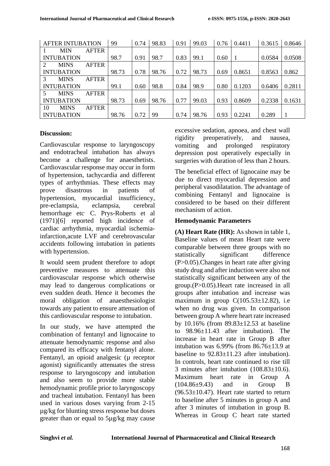| <b>AFTER INTUBATION</b> |              | 99    | 0.74 | 98.83 | 0.91 | 99.03 | 0.76 | 0.4411 | 0.3615 | 0.8646 |
|-------------------------|--------------|-------|------|-------|------|-------|------|--------|--------|--------|
| MIN                     | <b>AFTER</b> |       |      |       |      |       |      |        |        |        |
| <b>INTUBATION</b>       |              | 98.7  | 0.91 | 98.7  | 0.83 | 99.1  | 0.60 |        | 0.0584 | 0.0508 |
| <b>MINS</b><br>2        | <b>AFTER</b> |       |      |       |      |       |      |        |        |        |
| <b>INTUBATION</b>       |              | 98.73 | 0.78 | 98.76 | 0.72 | 98.73 | 0.69 | 0.8651 | 0.8563 | 0.862  |
| <b>MINS</b><br>3        | <b>AFTER</b> |       |      |       |      |       |      |        |        |        |
| <b>INTUBATION</b>       |              | 99.1  | 0.60 | 98.8  | 0.84 | 98.9  | 0.80 | 0.1203 | 0.6406 | 0.2811 |
| <b>MINS</b><br>5.       | <b>AFTER</b> |       |      |       |      |       |      |        |        |        |
| <b>INTUBATION</b>       |              | 98.73 | 0.69 | 98.76 | 0.77 | 99.03 | 0.93 | 0.8609 | 0.2338 | 0.1631 |
| 10<br><b>MINS</b>       | <b>AFTER</b> |       |      |       |      |       |      |        |        |        |
| <b>INTUBATION</b>       |              | 98.76 | 0.72 | 99    | 0.74 | 98.76 | 0.93 | 0.2241 | 0.289  |        |

## **Discussion:**

Cardiovascular response to laryngoscopy and endotracheal intubation has always become a challenge for anaesthetists. Cardiovascular response may occur in form of hypertension, tachycardia and different types of arrhythmias. These effects may prove disastrous in patients of hypertension, myocardial insufficiency, pre-eclampsia, eclampsia, cerebral hemorrhage etc<sup>.</sup> C. Prys-Roberts et al (1971)[6] reported high incidence of cardiac arrhythmia, myocardial ischemiainfarction,acute LVF and cerebrovascular accidents following intubation in patients with hypertension.

It would seem prudent therefore to adopt preventive measures to attenuate this cardiovascular response which otherwise may lead to dangerous complications or even sudden death. Hence it becomes the moral obligation of anaesthesiologist towards any patient to ensure attenuation of this cardiovascular response to intubation.

In our study, we have attempted the combination of fentanyl and lignocaine to attenuate hemodynamic response and also compared its efficacy with fentanyl alone. Fentanyl, an opioid analgesic ( $\mu$  receptor agonist) significantly attenuates the stress response to laryngoscopy and intubation and also seem to provide more stable hemodynamic profile prior to laryngoscopy and tracheal intubation. Fentanyl has been used in various doses varying from 2-15 µg/kg for blunting stress response but doses greater than or equal to 5µg/kg may cause

excessive sedation, apnoea, and chest wall rigidity preoperatively, and nausea, vomiting and prolonged respiratory depression post operatively especially in surgeries with duration of less than 2 hours.

The beneficial effect of lignocaine may be due to direct myocardial depression and peripheral vasodilatation. The advantage of combining Fentanyl and lignocaine is considered to be based on their different mechanism of action.

## **Hemodynamic Parameters**

**(A) Heart Rate (HR):** As shown in table 1, Baseline values of mean Heart rate were comparable between three groups with no statistically significant difference (P>0.05).Changes in heart rate after giving study drug and after induction were also not statistically significant between any of the group.(P>0.05).Heart rate increased in all groups after intubation and increase was maximum in group  $C(105.53 \pm 12.82)$ , i.e when no drug was given. In comparison between group A where heart rate increased by 10.16% (from 89.83±12.53 at baseline to 98.96±11.43 after intubation). The increase in heart rate in Group B after intubation was  $6.99\%$  (from  $86.76\pm13.9$  at baseline to  $92.83 \pm 11.23$  after intubation). In controls, heart rate continued to rise till 3 minutes after intubation (108.83±10.6). Maximum heart rate in Group A (104.86±9.43) and in Group B  $(96.53\pm10.47)$ . Heart rate started to return to baseline after 5 minutes in group A and after 3 minutes of intubation in group B. Whereas in Group C heart rate started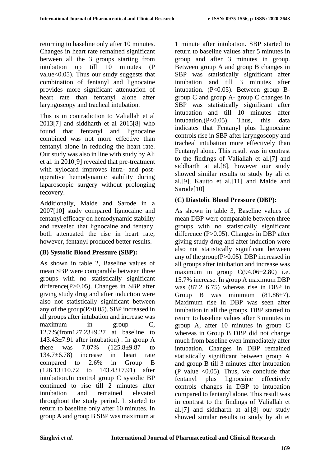returning to baseline only after 10 minutes. Changes in heart rate remained significant between all the 3 groups starting from intubation up till 10 minutes (P value<0.05). Thus our study suggests that combination of fentanyl and lignocaine provides more significant attenuation of heart rate than fentanyl alone after laryngoscopy and tracheal intubation.

This is in contradiction to Valiallah et al 2013[7] and siddharth et al 2015[8] who found that fentanyl and lignocaine combined was not more effective than fentanyl alone in reducing the heart rate. Our study was also in line with study by Ali et al. in 2010[9] revealed that pre-treatment with xylocard improves intra- and postoperative hemodynamic stability during laparoscopic surgery without prolonging recovery.

Additionally, Malde and Sarode in a 2007[10] study compared lignocaine and fentanyl efficacy on hemodynamic stability and revealed that lignocaine and fentanyl both attenuated the rise in heart rate; however, fentanyl produced better results.

## **(B) Systolic Blood Pressure (SBP):**

As shown in table 2, Baseline values of mean SBP were comparable between three groups with no statistically significant difference(P>0.05). Changes in SBP after giving study drug and after induction were also not statistically significant between any of the group(P>0.05). SBP increased in all groups after intubation and increase was maximum in group C, 12.7%(from127.23±9.27 at baseline to  $143.43\pm7.91$  after intubation). In group A there was 7.07% (125.8±9.87 to 134.7±6.78) increase in heart rate compared to 2.6% in Group B (126.13±10.72 to 143.43±7.91) after intubation.In control group C systolic BP continued to rise till 2 minutes after intubation and remained elevated throughout the study period. It started to return to baseline only after 10 minutes. In group A and group B SBP was maximum at

1 minute after intubation. SBP started to return to baseline values after 5 minutes in group and after 3 minutes in group. Between group A and group B changes in SBP was statistically significant after intubation and till 3 minutes after intubation. (P<0.05). Between group Bgroup C and group A- group C changes in SBP was statistically significant after intubation and till 10 minutes after intubation.(P<0.05). Thus, this data indicates that Fentanyl plus Lignocaine controls rise in SBP after laryngoscopy and tracheal intubation more effectively than Fentanyl alone. This result was in contrast to the findings of Valiallah et al.[7] and siddharth at al.[8], however our study showed similar results to study by ali et al.[9], Kautto et al.[11] and Malde and Sarode<sup>[10]</sup>

# **(C) Diastolic Blood Pressure (DBP):**

As shown in table 3, Baseline values of mean DBP were comparable between three groups with no statistically significant difference (P>0.05). Changes in DBP after giving study drug and after induction were also not statistically significant between any of the group(P>0.05). DBP increased in all groups after intubation and increase was maximum in group  $C(94.06\pm2.80)$  i.e. 15.7% increase. In group A maximum DBP was  $(87.2 \pm 6.75)$  whereas rise in DBP in Group B was minimum  $(81.86 \pm 7)$ . Maximum rise in DBP was seen after intubation in all the groups. DBP started to return to baseline values after 3 minutes in group A, after 10 minutes in group C whereas in Group B DBP did not change much from baseline even immediately after intubation. Changes in DBP remained statistically significant between group A and group B till 3 minutes after intubation (P value  $\leq 0.05$ ). Thus, we conclude that fentanyl plus lignocaine effectively controls changes in DBP to intubation compared to fentanyl alone. This result was in contrast to the findings of Valiallah et al.[7] and siddharth at al.[8] our study showed similar results to study by ali et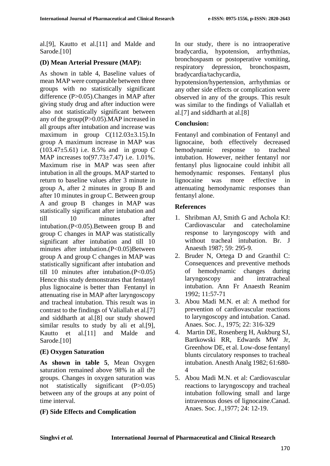al.[9], Kautto et al.[11] and Malde and Sarode.[10]

# **(D) Mean Arterial Pressure (MAP):**

As shown in table 4, Baseline values of mean MAP were comparable between three groups with no statistically significant difference (P>0.05).Changes in MAP after giving study drug and after induction were also not statistically significant between any of the group(P>0.05).MAP increased in all groups after intubation and increase was maximum in group  $C(112.03\pm3.15)$ . In group A maximum increase in MAP was (103.47±5.61) i.e. 8.5% and in group C MAP increases to(97.73±7.47) i.e. 1.01%. Maximum rise in MAP was seen after intubation in all the groups. MAP started to return to baseline values after 3 minute in group A, after 2 minutes in group B and after 10 minutes in group C. Between group A and group B changes in MAP was statistically significant after intubation and till 10 minutes after intubation.(P<0.05).Between group B and group C changes in MAP was statistically significant after intubation and till 10 minutes after intubation.(P<0.05)Between group A and group C changes in MAP was statistically significant after intubation and till 10 minutes after intubation. $(P<0.05)$ Hence this study demonstrates that fentanyl plus lignocaine is better than Fentanyl in attenuating rise in MAP after laryngoscopy and tracheal intubation. This result was in contrast to the findings of Valiallah et al.[7] and siddharth at al.[8] our study showed similar results to study by ali et al.[9], Kautto et al.[11] and Malde and Sarode.<sup>[10]</sup>

# **(E) Oxygen Saturation**

**As shown in table 5**, Mean Oxygen saturation remained above 98% in all the groups. Changes in oxygen saturation was not statistically significant (P>0.05) between any of the groups at any point of time interval.

**(F) Side Effects and Complication** 

In our study, there is no intraoperative bradycardia, hypotension, arrhythmias, bronchospasm or postoperative vomiting, respiratory depression, bronchospasm, bradycardia/tachycardia,

hypotension/hypertension, arrhythmias or any other side effects or complication were observed in any of the groups. This result was similar to the findings of Valiallah et al.[7] and siddharth at al.[8]

## **Conclusion:**

Fentanyl and combination of Fentanyl and lignocaine, both effectively decreased hemodynamic response to tracheal intubation. However, neither fentanyl nor fentanyl plus lignocaine could inhibit all hemodynamic responses. Fentanyl plus lignocaine was more effective in attenuating hemodynamic responses than fentanyl alone.

## **References**

- 1. Shribman AJ, Smith G and Achola KJ: Cardiovascular and catecholamine response to laryngoscopy with and without tracheal intubation. Br. J Anaesth 1987; 59: 295-9.
- 2. Bruder N, Ortega D and Granthil C: Consequences and preventive methods of hemodynamic changes during laryngoscopy and intratracheal intubation. Ann Fr Anaesth Reanim 1992; 11:57-71
- 3. Abou Madi M.N. et al: A method for prevention of cardiovascular reactions to laryngoscopy and intubation. Canad. Anaes. Soc. J., 1975; 22: 316-329
- 4. Martin DE, Rosenberg H, Aukburg SJ, Bartkowski RR, Edwards MW Jr, Greenhow DE, et al. Low-dose fentanyl blunts circulatory responses to tracheal intubation. Anesth Analg 1982; 61:680- 4
- 5. Abou Madi M.N. et al: Cardiovascular reactions to laryngoscopy and tracheal intubation following small and large intravenous doses of lignocaine.Canad. Anaes. Soc. J.,1977; 24: 12-19.